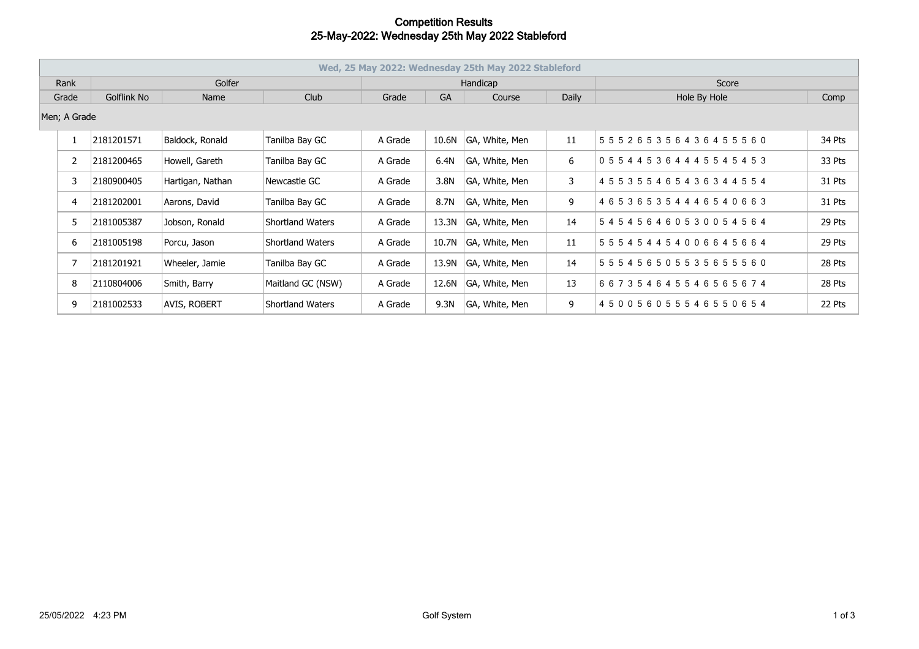## **Competition Results 25-May-2022: Wednesday 25th May 2022 Stableford**

| Wed, 25 May 2022: Wednesday 25th May 2022 Stableford |                |             |                  |                   |          |           |                |       |                                     |        |  |
|------------------------------------------------------|----------------|-------------|------------------|-------------------|----------|-----------|----------------|-------|-------------------------------------|--------|--|
|                                                      | Rank           | Golfer      |                  |                   | Handicap |           |                |       | Score                               |        |  |
| Grade                                                |                | Golflink No | Name             | Club              | Grade    | <b>GA</b> | Course         | Daily | Hole By Hole                        | Comp   |  |
| Men; A Grade                                         |                |             |                  |                   |          |           |                |       |                                     |        |  |
|                                                      |                | 2181201571  | Baldock, Ronald  | Tanilba Bay GC    | A Grade  | 10.6N     | GA, White, Men | 11    | 555265356436455560                  | 34 Pts |  |
|                                                      |                | 2181200465  | Howell, Gareth   | Tanilba Bay GC    | A Grade  | 6.4N      | GA, White, Men | 6     | 0 5 5 4 4 5 3 6 4 4 4 5 5 4 5 4 5 3 | 33 Pts |  |
|                                                      | 3              | 2180900405  | Hartigan, Nathan | Newcastle GC      | A Grade  | 3.8N      | GA, White, Men | 3     | 4 5 5 3 5 5 4 6 5 4 3 6 3 4 4 5 5 4 | 31 Pts |  |
|                                                      | $\overline{4}$ | 2181202001  | Aarons, David    | Tanilba Bay GC    | A Grade  | 8.7N      | GA, White, Men | 9     | 465365354446540663                  | 31 Pts |  |
|                                                      | 5              | 2181005387  | Jobson, Ronald   | Shortland Waters  | A Grade  | 13.3N     | GA, White, Men | 14    | 545456460530054564                  | 29 Pts |  |
|                                                      | 6              | 2181005198  | Porcu, Jason     | Shortland Waters  | A Grade  | 10.7N     | GA, White, Men | 11    | 555454454006645664                  | 29 Pts |  |
|                                                      |                | 2181201921  | Wheeler, Jamie   | Tanilba Bay GC    | A Grade  | 13.9N     | GA, White, Men | 14    | 555456505535655560                  | 28 Pts |  |
|                                                      | 8              | 2110804006  | Smith, Barry     | Maitland GC (NSW) | A Grade  | 12.6N     | GA, White, Men | 13    | 667354645546565674                  | 28 Pts |  |
|                                                      | 9              | 2181002533  | AVIS, ROBERT     | Shortland Waters  | A Grade  | 9.3N      | GA, White, Men | 9     | 450056055546550654                  | 22 Pts |  |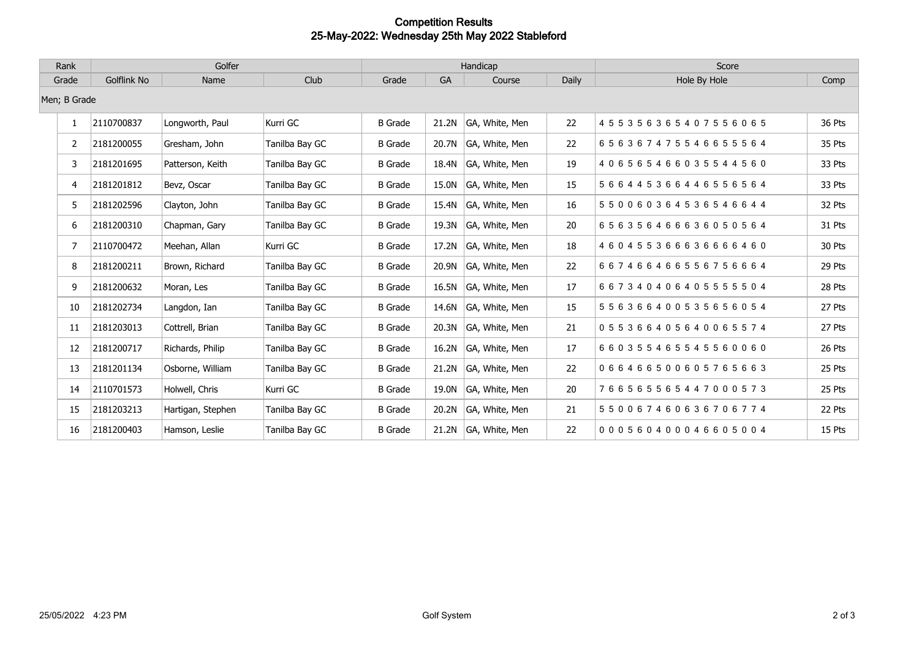## **Competition Results 25-May-2022: Wednesday 25th May 2022 Stableford**

| Rank           | Golfer      |                   |                | Handicap       |           |                |              | Score              |               |
|----------------|-------------|-------------------|----------------|----------------|-----------|----------------|--------------|--------------------|---------------|
| Grade          | Golflink No | Name              | Club           | Grade          | <b>GA</b> | Course         | <b>Daily</b> | Hole By Hole       | Comp          |
| Men; B Grade   |             |                   |                |                |           |                |              |                    |               |
| $\mathbf{1}$   | 2110700837  | Longworth, Paul   | Kurri GC       | <b>B</b> Grade | 21.2N     | GA, White, Men | 22           | 455356365407556065 | <b>36 Pts</b> |
| $\overline{2}$ | 2181200055  | Gresham, John     | Tanilba Bay GC | <b>B</b> Grade | 20.7N     | GA, White, Men | 22           | 656367475546655564 | 35 Pts        |
| 3              | 2181201695  | Patterson, Keith  | Tanilba Bay GC | <b>B</b> Grade | 18.4N     | GA, White, Men | 19           | 406565466035544560 | 33 Pts        |
| 4              | 2181201812  | Bevz, Oscar       | Tanilba Bay GC | <b>B</b> Grade | 15.0N     | GA, White, Men | 15           | 566445366446556564 | 33 Pts        |
| 5              | 2181202596  | Clayton, John     | Tanilba Bay GC | <b>B</b> Grade | 15.4N     | GA, White, Men | 16           | 550060364536546644 | 32 Pts        |
| 6              | 2181200310  | Chapman, Gary     | Tanilba Bay GC | <b>B</b> Grade | 19.3N     | GA, White, Men | 20           | 656356466636050564 | 31 Pts        |
| $\overline{7}$ | 2110700472  | Meehan, Allan     | Kurri GC       | <b>B</b> Grade | 17.2N     | GA, White, Men | 18           | 460455366636666460 | 30 Pts        |
| 8              | 2181200211  | Brown, Richard    | Tanilba Bay GC | <b>B</b> Grade | 20.9N     | GA, White, Men | 22           | 667466466556756664 | 29 Pts        |
| 9              | 2181200632  | Moran, Les        | Tanilba Bay GC | <b>B</b> Grade | 16.5N     | GA, White, Men | 17           | 667340406405555504 | 28 Pts        |
| 10             | 2181202734  | Langdon, Ian      | Tanilba Bay GC | <b>B</b> Grade | 14.6N     | GA, White, Men | 15           | 556366400535656054 | 27 Pts        |
| 11             | 2181203013  | Cottrell, Brian   | Tanilba Bay GC | <b>B</b> Grade | 20.3N     | GA, White, Men | 21           | 055366405640065574 | 27 Pts        |
| 12             | 2181200717  | Richards, Philip  | Tanilba Bay GC | <b>B</b> Grade | 16.2N     | GA, White, Men | 17           | 660355465545560060 | 26 Pts        |
| 13             | 2181201134  | Osborne, William  | Tanilba Bay GC | <b>B</b> Grade | 21.2N     | GA, White, Men | 22           | 066466500605765663 | 25 Pts        |
| 14             | 2110701573  | Holwell, Chris    | Kurri GC       | <b>B</b> Grade | 19.0N     | GA, White, Men | 20           | 766565565447000573 | 25 Pts        |
| 15             | 2181203213  | Hartigan, Stephen | Tanilba Bay GC | <b>B</b> Grade | 20.2N     | GA, White, Men | 21           | 550067460636706774 | 22 Pts        |
| 16             | 2181200403  | Hamson, Leslie    | Tanilba Bay GC | <b>B</b> Grade | 21.2N     | GA, White, Men | 22           | 000560400046605004 | 15 Pts        |